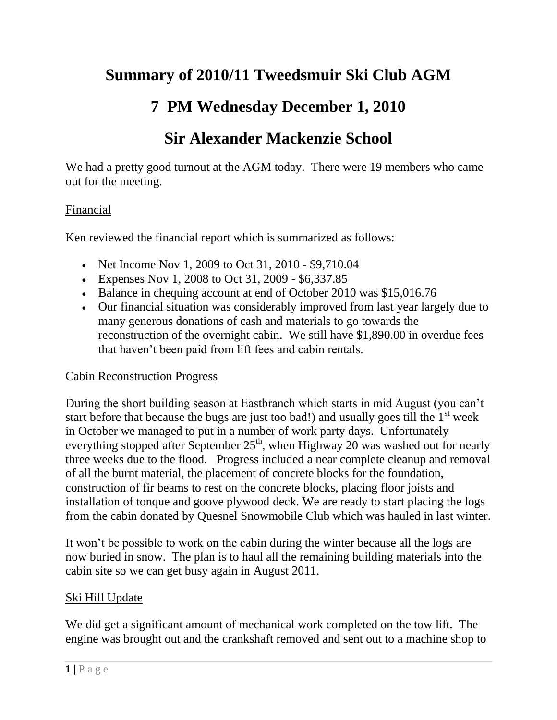# **Summary of 2010/11 Tweedsmuir Ski Club AGM**

# **7 PM Wednesday December 1, 2010**

## **Sir Alexander Mackenzie School**

We had a pretty good turnout at the AGM today. There were 19 members who came out for the meeting.

## Financial

Ken reviewed the financial report which is summarized as follows:

- Net Income Nov 1, 2009 to Oct 31, 2010 \$9,710.04
- Expenses Nov 1, 2008 to Oct 31, 2009 \$6,337.85
- Balance in chequing account at end of October 2010 was \$15,016.76
- Our financial situation was considerably improved from last year largely due to many generous donations of cash and materials to go towards the reconstruction of the overnight cabin. We still have \$1,890.00 in overdue fees that haven't been paid from lift fees and cabin rentals.

#### Cabin Reconstruction Progress

During the short building season at Eastbranch which starts in mid August (you can't start before that because the bugs are just too bad!) and usually goes till the  $1<sup>st</sup>$  week in October we managed to put in a number of work party days. Unfortunately everything stopped after September  $25<sup>th</sup>$ , when Highway 20 was washed out for nearly three weeks due to the flood. Progress included a near complete cleanup and removal of all the burnt material, the placement of concrete blocks for the foundation, construction of fir beams to rest on the concrete blocks, placing floor joists and installation of tonque and goove plywood deck. We are ready to start placing the logs from the cabin donated by Quesnel Snowmobile Club which was hauled in last winter.

It won't be possible to work on the cabin during the winter because all the logs are now buried in snow. The plan is to haul all the remaining building materials into the cabin site so we can get busy again in August 2011.

#### Ski Hill Update

We did get a significant amount of mechanical work completed on the tow lift. The engine was brought out and the crankshaft removed and sent out to a machine shop to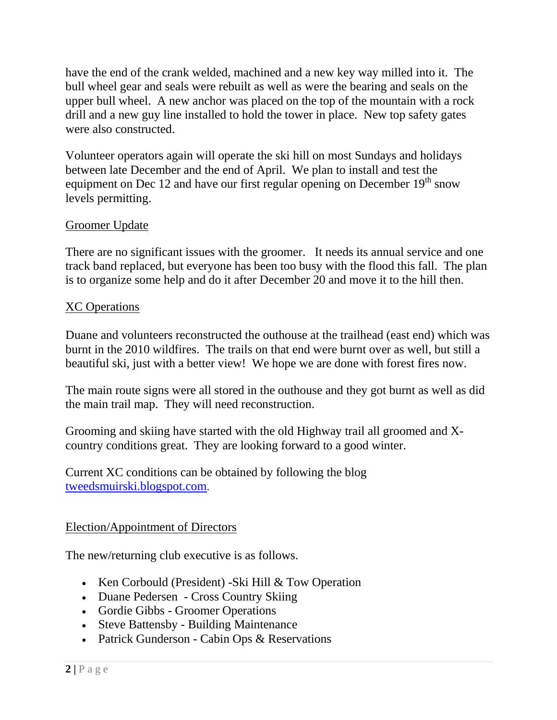have the end of the crank welded, machined and a new key way milled into it. The bull wheel gear and seals were rebuilt as well as were the bearing and seals on the upper bull wheel. A new anchor was placed on the top of the mountain with a rock drill and a new guy line installed to hold the tower in place. New top safety gates were also constructed.

Volunteer operators again will operate the ski hill on most Sundays and holidays between late December and the end of April. We plan to install and test the equipment on Dec 12 and have our first regular opening on December  $19<sup>th</sup>$  snow levels permitting.

## Groomer Update

There are no significant issues with the groomer. It needs its annual service and one track band replaced, but everyone has been too busy with the flood this fall. The plan is to organize some help and do it after December 20 and move it to the hill then.

## XC Operations

Duane and volunteers reconstructed the outhouse at the trailhead (east end) which was burnt in the 2010 wildfires. The trails on that end were burnt over as well, but still a beautiful ski, just with a better view! We hope we are done with forest fires now.

The main route signs were all stored in the outhouse and they got burnt as well as did the main trail map. They will need reconstruction.

Grooming and skiing have started with the old Highway trail all groomed and Xcountry conditions great. They are looking forward to a good winter.

Current XC conditions can be obtained by following the blog [tweedsmuirski.blogspot.com](http://tweedsmuirski.blogspot.com/).

#### Election/Appointment of Directors

The new/returning club executive is as follows.

- Ken Corbould (President) Ski Hill & Tow Operation
- Duane Pedersen Cross Country Skiing
- Gordie Gibbs Groomer Operations
- Steve Battensby Building Maintenance
- Patrick Gunderson Cabin Ops & Reservations